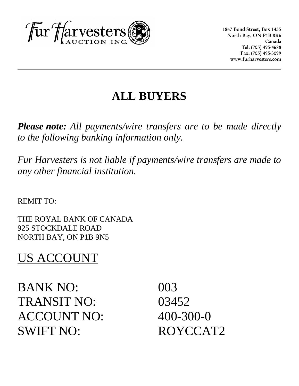

**1867 Bond Street, Box 1455 North Bay, ON P1B 8K6 Canada Tel: (705) 495-4688 Fax: (705) 495-3099 www.furharvesters.com**

# **ALL BUYERS**

*Please note: All payments/wire transfers are to be made directly to the following banking information only.* 

*Fur Harvesters is not liable if payments/wire transfers are made to any other financial institution.*

REMIT TO:

THE ROYAL BANK OF CANADA 925 STOCKDALE ROAD NORTH BAY, ON P1B 9N5

# US ACCOUNT

BANK NO: 003 TRANSIT NO: 03452 ACCOUNT NO: 400-300-0 SWIFT NO: ROYCCAT2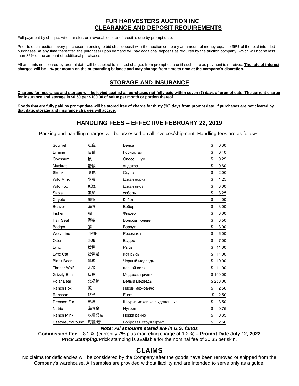### <u>FUR HARVESTERS AUCTION INC.</u> CLEARANCE AND DEPOSIT REQUIREMENTS

Full payment by cheque, wire transfer, or irrevocable letter of credit is due by prompt date.

Prior to each auction, every purchaser intending to bid shall deposit with the auction company an amount of money equal to 35% of the total intended purchases. At any time thereafter, the purchaser upon demand will pay additional deposits as required by the auction company, which will not be less than 35% of the amount of additional purchases.

All amounts not cleared by prompt date will be subject to interest charges from prompt date until such time as payment is received. The rate of interest charged will be 1 % per month on the outstanding balance and may change from time to time at the company's discretion.

## **STORAGE AND INSURANCE**

Charges for insurance and storage will be levied against all purchases not fully paid within seven (7) days of prompt date. The current charge for insurance and storage is \$0.50 per \$100.00 of value per month or portion thereof.

Goods that are fully paid by prompt date will be stored free of charge for thirty (30) days from prompt date. If purchases are not cleared by that date, storage and insurance charges will accrue.

### **HANDLING FEES - EFFECTIVE FEBRUARY 22, 2019**

Packing and handling charges will be assessed on all invoices/shipment. Handling fees are as follows:

| Squirrel            | 松鼠   | Белка                     | \$<br>0.30  |
|---------------------|------|---------------------------|-------------|
| Ermine              | 白鼬   | Горностай                 | \$<br>0.40  |
| Opossum             | 鼠    | Опосс<br>VM               | \$<br>0.25  |
| <b>Muskrat</b>      | 麝鼠   | ондатра                   | \$<br>0.60  |
| <b>Skunk</b>        | 臭鼬   | Скунс                     | \$<br>2.00  |
| <b>Wild Mink</b>    | 水貂   | Дикая норка               | \$<br>1.25  |
| <b>Wild Fox</b>     | 狐狸   | Дикая лиса                | \$<br>3.00  |
| Sable               | 紫貂   | соболь                    | \$<br>3.25  |
| Coyote              | 郊狼   | Койот                     | \$<br>4.00  |
| Beaver              | 海狸   | Бобер                     | \$<br>3.00  |
| Fisher              | 貂    | Фишер                     | \$<br>3.00  |
| Hair Seal           | 海豹   | Волосы тюленя             | \$<br>3.50  |
| Badger              | 獾    | Барсук                    | \$<br>3.00  |
| Wolverine           | 狼獾   | Росомаха                  | \$<br>6.00  |
| Otter               | 水獭   | Выдра                     | \$<br>7.00  |
| Lynx                | 猞猁   | Рысь                      | \$<br>11.00 |
| Lynx Cat            | 猞猁猫  | Кот рысь                  | \$<br>11.00 |
| <b>Black Bear</b>   | 黑熊   | Черный медведь            | \$<br>10.00 |
| <b>Timber Wolf</b>  | 木狼   | лесной волк               | \$<br>11.00 |
| <b>Grizzly Bear</b> | 灰熊   | Медведь гризли            | \$100.00    |
| Polar Bear          | 北极熊  | Белый медведь             | \$250.00    |
| Ranch Fox           | 狐    | Лисий мех-ранчо           | \$<br>2.50  |
| Raccoon             | 貉子   | Енот                      | \$<br>2.50  |
| <b>Dressed Fur</b>  | 熟皮   | Шкурки меховые выделанные | \$<br>3.50  |
| Nutria              | 海狸鼠  | Нутрия                    | \$<br>0.75  |
| <b>Ranch Mink</b>   | 牧场貂皮 | Норка ранчо               | \$<br>0.35  |
| Castoreum/Pound     | 海狸/磅 | Бобровая струя / фунт     | \$<br>2.50  |

Note: All amounts stated are in U.S. funds

Commission Fee: 8.2% (currently 7% plus marketing charge of 1.2%) - Prompt Date July 12, 2022 **Prick Stamping:**Prick stamping is available for the nominal fee of \$0.35 per skin.

# **CLAIMS**

No claims for deficiencies will be considered by the Company after the goods have been removed or shipped from the Company's warehouse. All samples are provided without liability and are intended to serve only as a guide.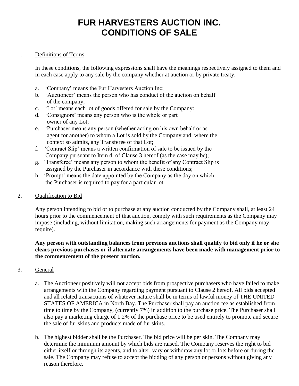# **FUR HARVESTERS AUCTION INC. CONDITIONS OF SALE**

#### 1. Definitions of Terms

In these conditions, the following expressions shall have the meanings respectively assigned to them and in each case apply to any sale by the company whether at auction or by private treaty.

- a. 'Company' means the Fur Harvesters Auction Inc;
- b. 'Auctioneer' means the person who has conduct of the auction on behalf of the company;
- c. 'Lot' means each lot of goods offered for sale by the Company:
- d. 'Consignors' means any person who is the whole or part owner of any Lot;
- e. 'Purchaser means any person (whether acting on his own behalf or as agent for another) to whom a Lot is sold by the Company and, where the context so admits, any Transferee of that Lot;
- f. 'Contract Slip' means a written confirmation of sale to be issued by the Company pursuant to Item d. of Clause 3 hereof (as the case may be);
- g. 'Transferee' means any person to whom the benefit of any Contract Slip is assigned by the Purchaser in accordance with these conditions;
- h. 'Prompt' means the date appointed by the Company as the day on which the Purchaser is required to pay for a particular lot.

#### 2. Qualification to Bid

Any person intending to bid or to purchase at any auction conducted by the Company shall, at least 24 hours prior to the commencement of that auction, comply with such requirements as the Company may impose (including, without limitation, making such arrangements for payment as the Company may require).

#### **Any person with outstanding balances from previous auctions shall qualify to bid only if he or she clears previous purchases or if alternate arrangements have been made with management prior to the commencement of the present auction.**

#### 3. General

- a. The Auctioneer positively will not accept bids from prospective purchasers who have failed to make arrangements with the Company regarding payment pursuant to Clause 2 hereof. All bids accepted and all related transactions of whatever nature shall be in terms of lawful money of THE UNITED STATES OF AMERICA in North Bay. The Purchaser shall pay an auction fee as established from time to time by the Company, (currently 7%) in addition to the purchase price. The Purchaser shall also pay a marketing charge of 1.2% of the purchase price to be used entirely to promote and secure the sale of fur skins and products made of fur skins.
- b. The highest bidder shall be the Purchaser. The bid price will be per skin. The Company may determine the minimum amount by which bids are raised. The Company reserves the right to bid either itself or through its agents, and to alter, vary or withdraw any lot or lots before or during the sale. The Company may refuse to accept the bidding of any person or persons without giving any reason therefore.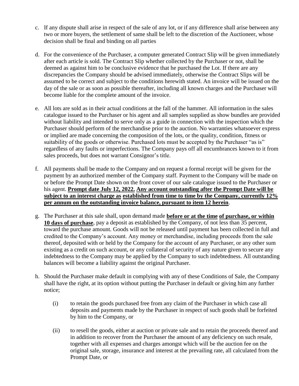- c. If any dispute shall arise in respect of the sale of any lot, or if any difference shall arise between any two or more buyers, the settlement of same shall be left to the discretion of the Auctioneer, whose decision shall be final and binding on all parties
- d. For the convenience of the Purchaser, a computer generated Contract Slip will be given immediately after each article is sold. The Contract Slip whether collected by the Purchaser or not, shall be deemed as against him to be conclusive evidence that he purchased the Lot. If there are any discrepancies the Company should be advised immediately, otherwise the Contract Slips will be assumed to be correct and subject to the conditions herewith stated. An invoice will be issued on the day of the sale or as soon as possible thereafter, including all known charges and the Purchaser will become liable for the complete amount of the invoice.
- e. All lots are sold as in their actual conditions at the fall of the hammer. All information in the sales catalogue issued to the Purchaser or his agent and all samples supplied as show bundles are provided without liability and intended to serve only as a guide in connection with the inspection which the Purchaser should perform of the merchandise prior to the auction. No warranties whatsoever express or implied are made concerning the composition of the lots, or the quality, condition, fitness or suitability of the goods or otherwise. Purchased lots must be accepted by the Purchaser "as is" regardless of any faults or imperfections. The Company pays off all encumbrances known to it from sales proceeds, but does not warrant Consignor's title.
- f. All payments shall be made to the Company and on request a formal receipt will be given for the payment by an authorized member of the Company staff. Payment to the Company will be made on or before the Prompt Date shown on the front cover of our sale catalogue issued to the Purchaser or his agent. **Prompt date July 12, 2022. Any account outstanding after the Prompt Date will be subject to an interest charge as established from time to time by the Company, currently 12% per annum on the outstanding invoice balance, pursuant to item 12 herein**.
- g. The Purchaser at this sale shall, upon demand made **before or at the time of purchase, or within 10 days of purchase**, pay a deposit as established by the Company, of not less than 35 percent, toward the purchase amount. Goods will not be released until payment has been collected in full and credited to the Company's account. Any money or merchandise, including proceeds from the sale thereof, deposited with or held by the Company for the account of any Purchaser, or any other sum existing as a credit on such account, or any collateral of security of any nature given to secure any indebtedness to the Company may be applied by the Company to such indebtedness. All outstanding balances will become a liability against the original Purchaser.
- h. Should the Purchaser make default in complying with any of these Conditions of Sale, the Company shall have the right, at its option without putting the Purchaser in default or giving him any further notice;
	- (i) to retain the goods purchased free from any claim of the Purchaser in which case all deposits and payments made by the Purchaser in respect of such goods shall be forfeited by him to the Company, or
	- (ii) to resell the goods, either at auction or private sale and to retain the proceeds thereof and in addition to recover from the Purchaser the amount of any deficiency on such resale, together with all expenses and charges amongst which will be the auction fee on the original sale, storage, insurance and interest at the prevailing rate, all calculated from the Prompt Date, or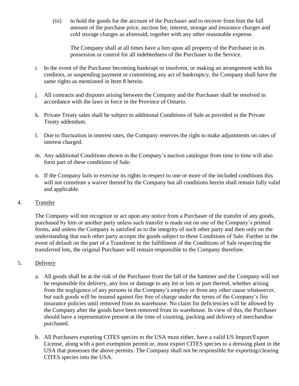(iii) to hold the goods for the account of the Purchaser and to recover from him the full amount of the purchase price, auction fee, interest, storage and insurance charges and cold storage charges as aforesaid, together with any other reasonable expense.

The Company shall at all times have a lien upon all property of the Purchaser in its possession or control for all indebtedness of the Purchaser to the Service.

- i. In the event of the Purchaser becoming bankrupt or insolvent, or making an arrangement with his creditors, or suspending payment or committing any act of bankruptcy, the Company shall have the same rights as mentioned in Item 8 herein.
- j. All contracts and disputes arising between the Company and the Purchaser shall be resolved in accordance with the laws in force in the Province of Ontario.
- k. Private Treaty sales shall be subject to additional Conditions of Sale as provided in the Private Treaty addendum.
- l. Due to fluctuation in interest rates, the Company reserves the right to make adjustments on rates of interest charged.
- m. Any additional Conditions shown in the Company's auction catalogue from time to time will also form part of these conditions of Sale.
- n. If the Company fails to exercise its rights in respect to one or more of the included conditions this will not constitute a waiver thereof by the Company but all conditions herein shall remain fully valid and applicable.
- 4. Transfer

The Company will not recognize or act upon any notice from a Purchaser of the transfer of any goods, purchased by him or another party unless such transfer is made out on one of the Company's printed forms, and unless the Company is satisfied as to the integrity of such other party and then only on the understanding that such other party accepts the goods subject to these Conditions of Sale. Further in the event of default on the part of a Transferee in the fulfillment of the Conditions of Sale respecting the transferred lots, the original Purchaser will remain responsible to the Company therefore.

#### 5. Delivery

- a. All goods shall be at the risk of the Purchaser from the fall of the hammer and the Company will not be responsible for delivery, any loss or damage to any lot or lots or part thereof, whether arising from the negligence of any persons in the Company's employ or from any other cause whatsoever, but such goods will be insured against fire free of charge under the terms of the Company's fire insurance policies until removed from its warehouse. No claim for deficiencies will be allowed by the Company after the goods have been removed from its warehouse. In view of this, the Purchaser should have a representative present at the time of counting, packing and delivery of merchandise purchased.
- b. All Purchasers exporting CITES species to the USA must either, have a valid US Import/Export License, along with a port exemption permit or, must export CITES species to a dressing plant in the USA that possesses the above permits. The Company shall not be responsible for exporting/clearing CITES species into the USA.